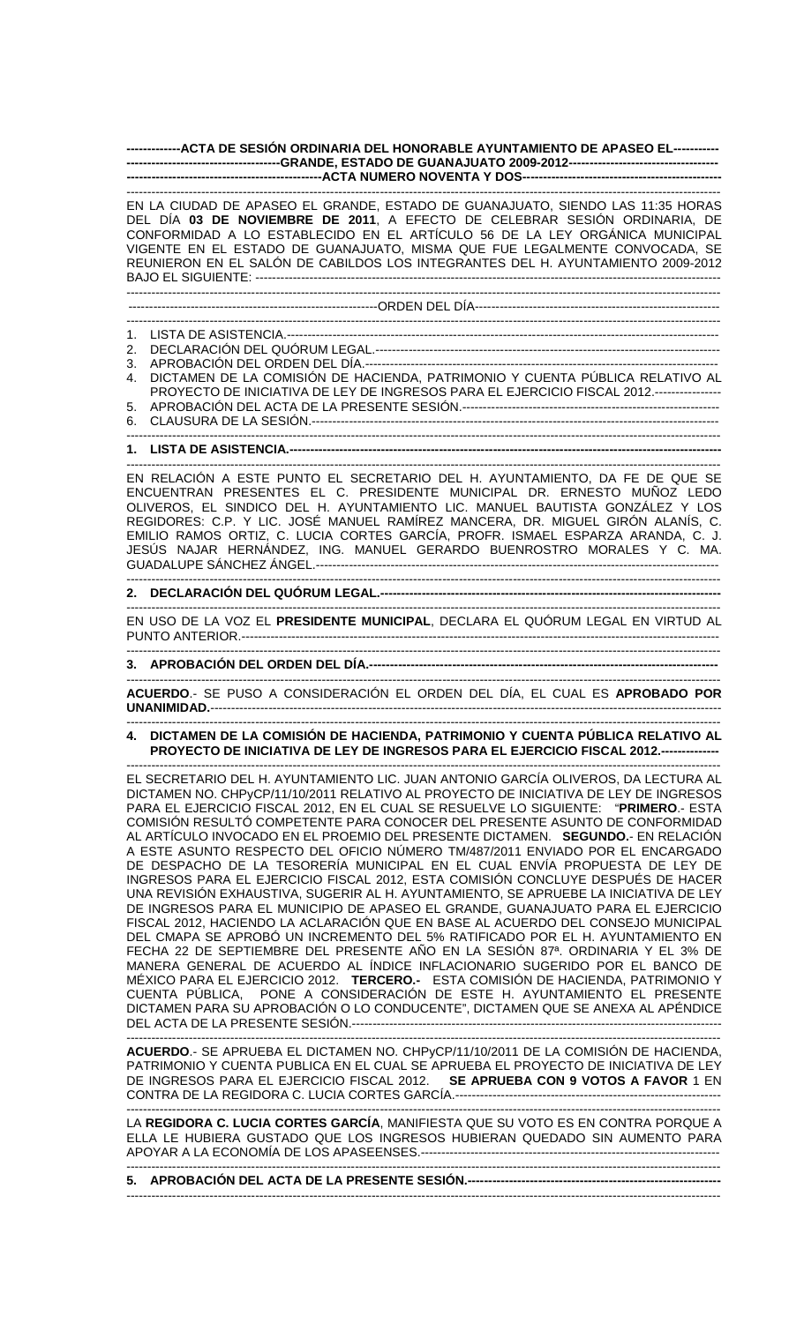# **-------------ACTA DE SESIÓN ORDINARIA DEL HONORABLE AYUNTAMIENTO DE APASEO EL----------- -------------------------------------GRANDE, ESTADO DE GUANAJUATO 2009-2012------------------------------------ -----------------------------------------------ACTA NUMERO NOVENTA Y DOS------------------------------------------------**

----------------------------------------------------------------------------------------------------------------------------------------------- EN LA CIUDAD DE APASEO EL GRANDE, ESTADO DE GUANAJUATO, SIENDO LAS 11:35 HORAS DEL DÍA **03 DE NOVIEMBRE DE 2011**, A EFECTO DE CELEBRAR SESIÓN ORDINARIA, DE CONFORMIDAD A LO ESTABLECIDO EN EL ARTÍCULO 56 DE LA LEY ORGÁNICA MUNICIPAL VIGENTE EN EL ESTADO DE GUANAJUATO, MISMA QUE FUE LEGALMENTE CONVOCADA, SE REUNIERON EN EL SALÓN DE CABILDOS LOS INTEGRANTES DEL H. AYUNTAMIENTO 2009-2012 BAJO EL SIGUIENTE: ---------------------------------------------------------------------------------------------------------------- -----------------------------------------------------------------------------------------------------------------------------------------------

# ------------------------------------------------------------ORDEN DEL DÍA----------------------------------------------------------- -----------------------------------------------------------------------------------------------------------------------------------------------

- 1. LISTA DE ASISTENCIA.--------------------------------------------------------------------------------------------------------
- 2. DECLARACIÓN DEL QUÓRUM LEGAL.-----------------------------------------------------------------------------------
- 3. APROBACIÓN DEL ORDEN DEL DÍA.-------------------------------------------------------------------------------------
- 4. DICTAMEN DE LA COMISIÓN DE HACIENDA, PATRIMONIO Y CUENTA PÚBLICA RELATIVO AL PROYECTO DE INICIATIVA DE LEY DE INGRESOS PARA EL EJERCICIO FISCAL 2012.---------------- 5. APROBACIÓN DEL ACTA DE LA PRESENTE SESIÓN.--------------------------------------------------------------
- 6. CLAUSURA DE LA SESIÓN.--------------------------------------------------------------------------------------------------

# ----------------------------------------------------------------------------------------------------------------------------------------------- **1. LISTA DE ASISTENCIA.--------------------------------------------------------------------------------------------------------**

----------------------------------------------------------------------------------------------------------------------------------------------- EN RELACIÓN A ESTE PUNTO EL SECRETARIO DEL H. AYUNTAMIENTO, DA FE DE QUE SE ENCUENTRAN PRESENTES EL C. PRESIDENTE MUNICIPAL DR. ERNESTO MUÑOZ LEDO OLIVEROS, EL SINDICO DEL H. AYUNTAMIENTO LIC. MANUEL BAUTISTA GONZÁLEZ Y LOS REGIDORES: C.P. Y LIC. JOSÉ MANUEL RAMÍREZ MANCERA, DR. MIGUEL GIRÓN ALANÍS, C. EMILIO RAMOS ORTIZ, C. LUCIA CORTES GARCÍA, PROFR. ISMAEL ESPARZA ARANDA, C. J. JESÚS NAJAR HERNÁNDEZ, ING. MANUEL GERARDO BUENROSTRO MORALES Y C. MA. GUADALUPE SÁNCHEZ ÁNGEL.-------------------------------------------------------------------------------------------------

### **2. DECLARACIÓN DEL QUÓRUM LEGAL.----------------------------------------------------------------------------------**

EN USO DE LA VOZ EL **PRESIDENTE MUNICIPAL**, DECLARA EL QUÓRUM LEGAL EN VIRTUD AL PUNTO ANTERIOR.------------------------------------------------------------------------------------------------------------------- -----------------------------------------------------------------------------------------------------------------------------------------------

-----------------------------------------------------------------------------------------------------------------------------------------------

# **3. APROBACIÓN DEL ORDEN DEL DÍA.------------------------------------------------------------------------------------**

----------------------------------------------------------------------------------------------------------------------------------------------- **ACUERDO**.- SE PUSO A CONSIDERACIÓN EL ORDEN DEL DÍA, EL CUAL ES **APROBADO POR UNANIMIDAD.**---------------------------------------------------------------------------------------------------------------------------

# ----------------------------------------------------------------------------------------------------------------------------------------------- **4. DICTAMEN DE LA COMISIÓN DE HACIENDA, PATRIMONIO Y CUENTA PÚBLICA RELATIVO AL PROYECTO DE INICIATIVA DE LEY DE INGRESOS PARA EL EJERCICIO FISCAL 2012.--------------**  -----------------------------------------------------------------------------------------------------------------------------------------------

EL SECRETARIO DEL H. AYUNTAMIENTO LIC. JUAN ANTONIO GARCÍA OLIVEROS, DA LECTURA AL DICTAMEN NO. CHPyCP/11/10/2011 RELATIVO AL PROYECTO DE INICIATIVA DE LEY DE INGRESOS PARA EL EJERCICIO FISCAL 2012, EN EL CUAL SE RESUELVE LO SIGUIENTE: "**PRIMERO**.- ESTA COMISIÓN RESULTÓ COMPETENTE PARA CONOCER DEL PRESENTE ASUNTO DE CONFORMIDAD AL ARTÍCULO INVOCADO EN EL PROEMIO DEL PRESENTE DICTAMEN. **SEGUNDO.**- EN RELACIÓN A ESTE ASUNTO RESPECTO DEL OFICIO NÚMERO TM/487/2011 ENVIADO POR EL ENCARGADO DE DESPACHO DE LA TESORERÍA MUNICIPAL EN EL CUAL ENVÍA PROPUESTA DE LEY DE INGRESOS PARA EL EJERCICIO FISCAL 2012, ESTA COMISIÓN CONCLUYE DESPUÉS DE HACER UNA REVISIÓN EXHAUSTIVA, SUGERIR AL H. AYUNTAMIENTO, SE APRUEBE LA INICIATIVA DE LEY DE INGRESOS PARA EL MUNICIPIO DE APASEO EL GRANDE, GUANAJUATO PARA EL EJERCICIO FISCAL 2012, HACIENDO LA ACLARACIÓN QUE EN BASE AL ACUERDO DEL CONSEJO MUNICIPAL DEL CMAPA SE APROBÓ UN INCREMENTO DEL 5% RATIFICADO POR EL H. AYUNTAMIENTO EN FECHA 22 DE SEPTIEMBRE DEL PRESENTE AÑO EN LA SESIÓN 87ª. ORDINARIA Y EL 3% DE MANERA GENERAL DE ACUERDO AL ÍNDICE INFLACIONARIO SUGERIDO POR EL BANCO DE MÉXICO PARA EL EJERCICIO 2012. **TERCERO.-** ESTA COMISIÓN DE HACIENDA, PATRIMONIO Y CUENTA PÚBLICA, PONE A CONSIDERACIÓN DE ESTE H. AYUNTAMIENTO EL PRESENTE DICTAMEN PARA SU APROBACIÓN O LO CONDUCENTE", DICTAMEN QUE SE ANEXA AL APÉNDICE DEL ACTA DE LA PRESENTE SESIÓN.-----------------------------------------------------------------------------------------

**ACUERDO**.- SE APRUEBA EL DICTAMEN NO. CHPyCP/11/10/2011 DE LA COMISIÓN DE HACIENDA, PATRIMONIO Y CUENTA PUBLICA EN EL CUAL SE APRUEBA EL PROYECTO DE INICIATIVA DE LEY DE INGRESOS PARA EL EJERCICIO FISCAL 2012. **SE APRUEBA CON 9 VOTOS A FAVOR** 1 EN CONTRA DE LA REGIDORA C. LUCIA CORTES GARCÍA.---------------------------------------------------------------- -----------------------------------------------------------------------------------------------------------------------------------------------

-----------------------------------------------------------------------------------------------------------------------------------------------

LA **REGIDORA C. LUCIA CORTES GARCÍA**, MANIFIESTA QUE SU VOTO ES EN CONTRA PORQUE A ELLA LE HUBIERA GUSTADO QUE LOS INGRESOS HUBIERAN QUEDADO SIN AUMENTO PARA APOYAR A LA ECONOMÍA DE LOS APASEENSES.------------------------------------------------------------------------ -----------------------------------------------------------------------------------------------------------------------------------------------

**5. APROBACIÓN DEL ACTA DE LA PRESENTE SESIÓN.-------------------------------------------------------------**  -----------------------------------------------------------------------------------------------------------------------------------------------